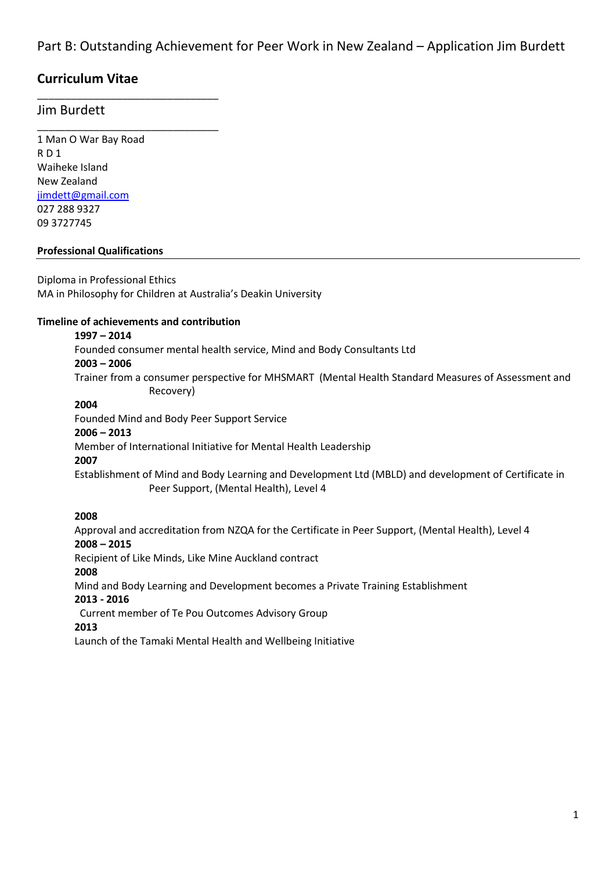## **Curriculum Vitae**

\_\_\_\_\_\_\_\_\_\_\_\_\_\_\_\_\_\_\_\_\_\_\_\_\_\_\_\_\_\_\_\_

\_\_\_\_\_\_\_\_\_\_\_\_\_\_\_\_\_\_\_\_\_\_\_\_\_\_\_\_\_\_\_\_

### Jim Burdett

1 Man O War Bay Road R D 1 Waiheke Island New Zealand [jimdett@gmail.com](mailto:jimdett@gmail.com) 027 288 9327 09 3727745

#### **Professional Qualifications**

Diploma in Professional Ethics MA in Philosophy for Children at Australia's Deakin University

#### **Timeline of achievements and contribution**

#### **1997 – 2014**

Founded consumer mental health service, Mind and Body Consultants Ltd **2003 – 2006** Trainer from a consumer perspective for MHSMART (Mental Health Standard Measures of Assessment and Recovery)

### **2004**

Founded Mind and Body Peer Support Service

#### **2006 – 2013**

Member of International Initiative for Mental Health Leadership

#### **2007**

Establishment of Mind and Body Learning and Development Ltd (MBLD) and development of Certificate in Peer Support, (Mental Health), Level 4

#### **2008**

Approval and accreditation from NZQA for the Certificate in Peer Support, (Mental Health), Level 4 **2008 – 2015**

Recipient of Like Minds, Like Mine Auckland contract

#### **2008**

Mind and Body Learning and Development becomes a Private Training Establishment

#### **2013 - 2016**

Current member of Te Pou Outcomes Advisory Group

#### **2013**

Launch of the Tamaki Mental Health and Wellbeing Initiative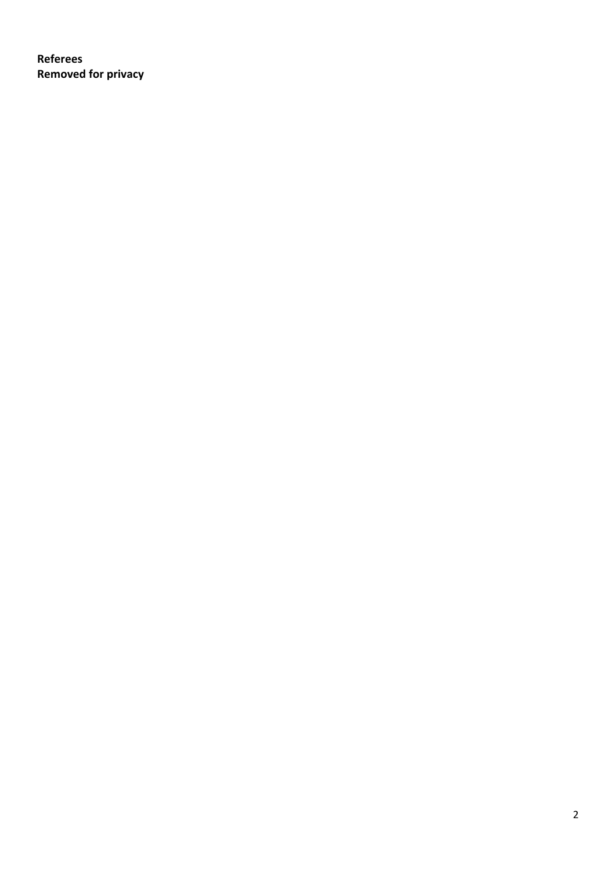**Referees Removed for privacy**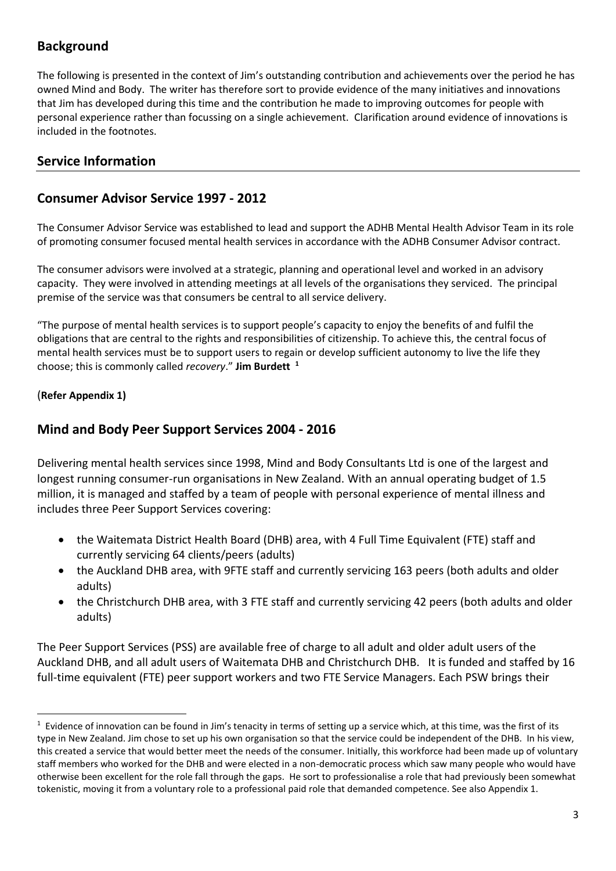## **Background**

The following is presented in the context of Jim's outstanding contribution and achievements over the period he has owned Mind and Body. The writer has therefore sort to provide evidence of the many initiatives and innovations that Jim has developed during this time and the contribution he made to improving outcomes for people with personal experience rather than focussing on a single achievement. Clarification around evidence of innovations is included in the footnotes.

## **Service Information**

### **Consumer Advisor Service 1997 - 2012**

The Consumer Advisor Service was established to lead and support the ADHB Mental Health Advisor Team in its role of promoting consumer focused mental health services in accordance with the ADHB Consumer Advisor contract.

The consumer advisors were involved at a strategic, planning and operational level and worked in an advisory capacity. They were involved in attending meetings at all levels of the organisations they serviced. The principal premise of the service was that consumers be central to all service delivery.

"The purpose of mental health services is to support people's capacity to enjoy the benefits of and fulfil the obligations that are central to the rights and responsibilities of citizenship. To achieve this, the central focus of mental health services must be to support users to regain or develop sufficient autonomy to live the life they choose; this is commonly called *recovery*." **Jim Burdett 1**

### (**Refer Appendix 1)**

**.** 

### **Mind and Body Peer Support Services 2004 - 2016**

Delivering mental health services since 1998, Mind and Body Consultants Ltd is one of the largest and longest running consumer-run organisations in New Zealand. With an annual operating budget of 1.5 million, it is managed and staffed by a team of people with personal experience of mental illness and includes three Peer Support Services covering:

- the Waitemata District Health Board (DHB) area, with 4 Full Time Equivalent (FTE) staff and currently servicing 64 clients/peers (adults)
- the Auckland DHB area, with 9FTE staff and currently servicing 163 peers (both adults and older adults)
- the Christchurch DHB area, with 3 FTE staff and currently servicing 42 peers (both adults and older adults)

The Peer Support Services (PSS) are available free of charge to all adult and older adult users of the Auckland DHB, and all adult users of Waitemata DHB and Christchurch DHB. It is funded and staffed by 16 full-time equivalent (FTE) peer support workers and two FTE Service Managers. Each PSW brings their

 $1$  Evidence of innovation can be found in Jim's tenacity in terms of setting up a service which, at this time, was the first of its type in New Zealand. Jim chose to set up his own organisation so that the service could be independent of the DHB. In his view, this created a service that would better meet the needs of the consumer. Initially, this workforce had been made up of voluntary staff members who worked for the DHB and were elected in a non-democratic process which saw many people who would have otherwise been excellent for the role fall through the gaps. He sort to professionalise a role that had previously been somewhat tokenistic, moving it from a voluntary role to a professional paid role that demanded competence. See also Appendix 1.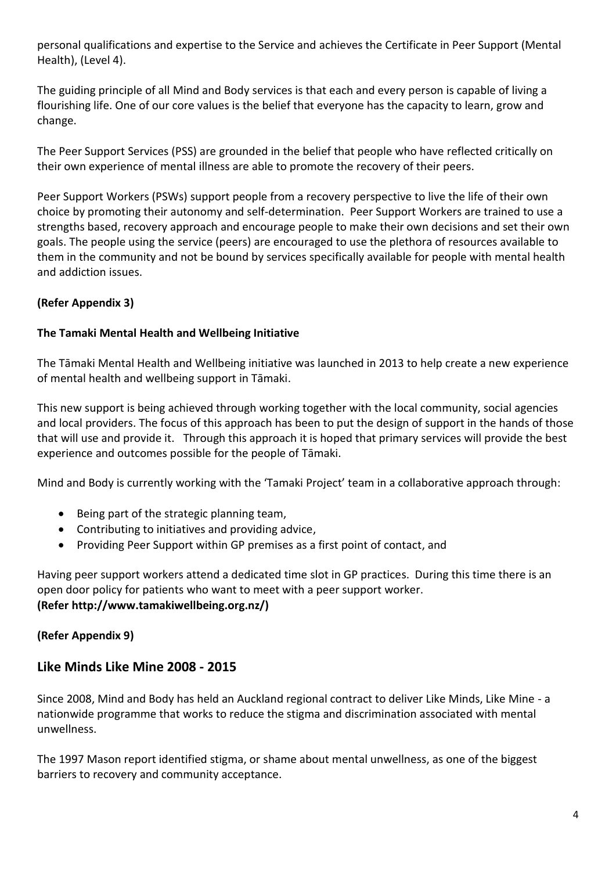personal qualifications and expertise to the Service and achieves the Certificate in Peer Support (Mental Health), (Level 4).

The guiding principle of all Mind and Body services is that each and every person is capable of living a flourishing life. One of our core values is the belief that everyone has the capacity to learn, grow and change.

The Peer Support Services (PSS) are grounded in the belief that people who have reflected critically on their own experience of mental illness are able to promote the recovery of their peers.

Peer Support Workers (PSWs) support people from a recovery perspective to live the life of their own choice by promoting their autonomy and self-determination. Peer Support Workers are trained to use a strengths based, recovery approach and encourage people to make their own decisions and set their own goals. The people using the service (peers) are encouraged to use the plethora of resources available to them in the community and not be bound by services specifically available for people with mental health and addiction issues.

### **(Refer Appendix 3)**

### **The Tamaki Mental Health and Wellbeing Initiative**

The Tāmaki Mental Health and Wellbeing initiative was launched in 2013 to help create a new experience of mental health and wellbeing support in Tāmaki.

This new support is being achieved through working together with the local community, social agencies and local providers. The focus of this approach has been to put the design of support in the hands of those that will use and provide it. Through this approach it is hoped that primary services will provide the best experience and outcomes possible for the people of Tāmaki.

Mind and Body is currently working with the 'Tamaki Project' team in a collaborative approach through:

- Being part of the strategic planning team,
- Contributing to initiatives and providing advice,
- Providing Peer Support within GP premises as a first point of contact, and

Having peer support workers attend a dedicated time slot in GP practices. During this time there is an open door policy for patients who want to meet with a peer support worker. **(Refer http://www.tamakiwellbeing.org.nz/)**

### **(Refer Appendix 9)**

### **Like Minds Like Mine 2008 - 2015**

Since 2008, Mind and Body has held an Auckland regional contract to deliver Like Minds, Like Mine - a nationwide programme that works to reduce the stigma and discrimination associated with mental unwellness.

The 1997 Mason report identified stigma, or shame about mental unwellness, as one of the biggest barriers to recovery and community acceptance.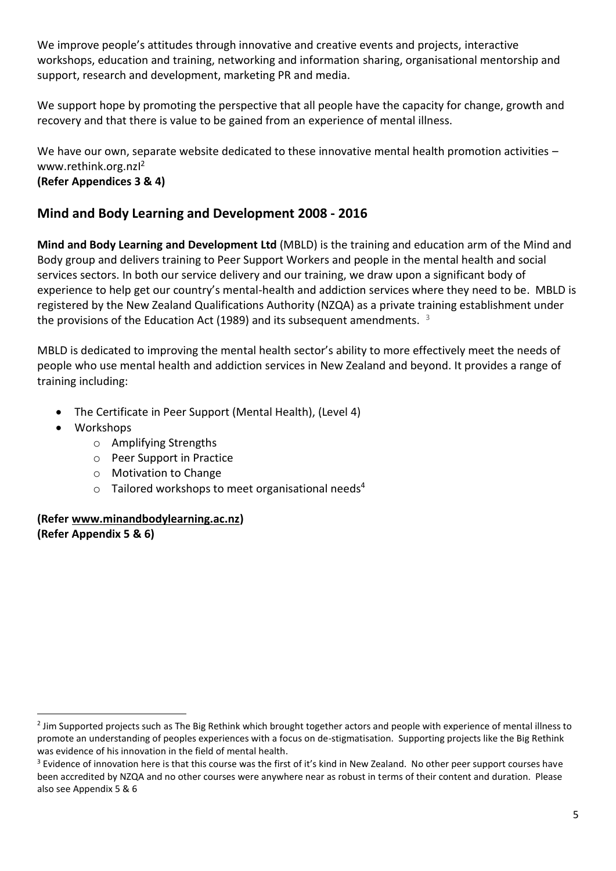We improve people's attitudes through innovative and creative events and projects, interactive workshops, education and training, networking and information sharing, organisational mentorship and support, research and development, marketing PR and media.

We support hope by promoting the perspective that all people have the capacity for change, growth and recovery and that there is value to be gained from an experience of mental illness.

We have our own, separate website dedicated to these innovative mental health promotion activities www.rethink.org.nzI 2 **(Refer Appendices 3 & 4)**

## **Mind and Body Learning and Development 2008 - 2016**

**Mind and Body Learning and Development Ltd** (MBLD) is the training and education arm of the Mind and Body group and delivers training to Peer Support Workers and people in the mental health and social services sectors. In both our service delivery and our training, we draw upon a significant body of experience to help get our country's mental-health and addiction services where they need to be. MBLD is registered by the New Zealand Qualifications Authority (NZQA) as a private training establishment under the provisions of the Education Act (1989) and its subsequent amendments.  $3$ 

MBLD is dedicated to improving the mental health sector's ability to more effectively meet the needs of people who use mental health and addiction services in New Zealand and beyond. It provides a range of training including:

- The Certificate in Peer Support (Mental Health), (Level 4)
- Workshops

**.** 

- o Amplifying Strengths
- o Peer Support in Practice
- o Motivation to Change
- $\circ$  Tailored workshops to meet organisational needs<sup>4</sup>

### **(Refer [www.minandbodylearning.ac.nz\)](http://www.minandbodylearning.ac.nz/) (Refer Appendix 5 & 6)**

<sup>&</sup>lt;sup>2</sup> Jim Supported projects such as The Big Rethink which brought together actors and people with experience of mental illness to promote an understanding of peoples experiences with a focus on de-stigmatisation. Supporting projects like the Big Rethink was evidence of his innovation in the field of mental health.

<sup>&</sup>lt;sup>3</sup> Evidence of innovation here is that this course was the first of it's kind in New Zealand. No other peer support courses have been accredited by NZQA and no other courses were anywhere near as robust in terms of their content and duration. Please also see Appendix 5 & 6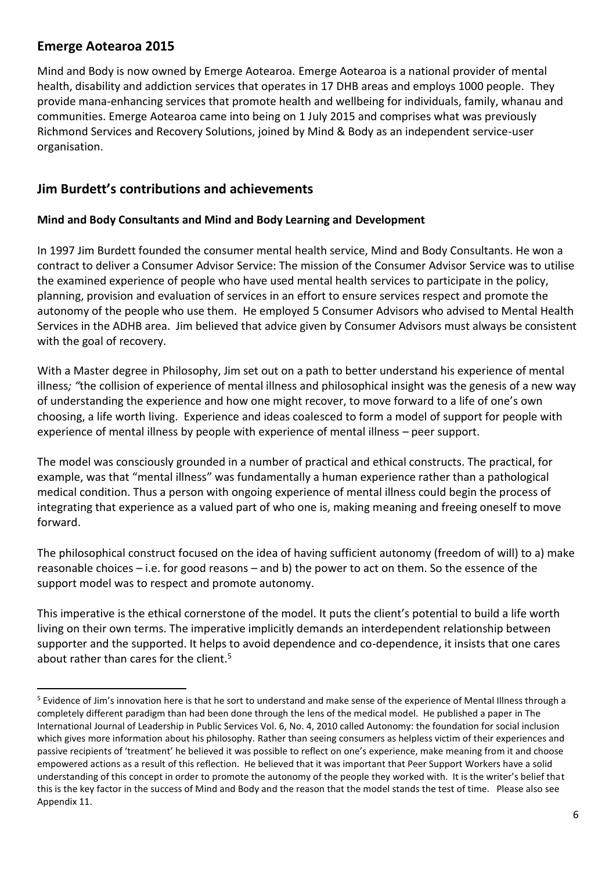## **Emerge Aotearoa 2015**

**.** 

Mind and Body is now owned by Emerge Aotearoa. Emerge Aotearoa is a national provider of mental health, disability and addiction services that operates in 17 DHB areas and employs 1000 people. They provide mana-enhancing services that promote health and wellbeing for individuals, family, whanau and communities. Emerge Aotearoa came into being on 1 July 2015 and comprises what was previously Richmond Services and Recovery Solutions, joined by Mind & Body as an independent service-user organisation.

### **Jim Burdett's contributions and achievements**

### **Mind and Body Consultants and Mind and Body Learning and Development**

In 1997 Jim Burdett founded the consumer mental health service, Mind and Body Consultants. He won a contract to deliver a Consumer Advisor Service: The mission of the Consumer Advisor Service was to utilise the examined experience of people who have used mental health services to participate in the policy, planning, provision and evaluation of services in an effort to ensure services respect and promote the autonomy of the people who use them. He employed 5 Consumer Advisors who advised to Mental Health Services in the ADHB area. Jim believed that advice given by Consumer Advisors must always be consistent with the goal of recovery.

With a Master degree in Philosophy, Jim set out on a path to better understand his experience of mental illness*; "*the collision of experience of mental illness and philosophical insight was the genesis of a new way of understanding the experience and how one might recover, to move forward to a life of one's own choosing, a life worth living. Experience and ideas coalesced to form a model of support for people with experience of mental illness by people with experience of mental illness – peer support.

The model was consciously grounded in a number of practical and ethical constructs. The practical, for example, was that "mental illness" was fundamentally a human experience rather than a pathological medical condition. Thus a person with ongoing experience of mental illness could begin the process of integrating that experience as a valued part of who one is, making meaning and freeing oneself to move forward.

The philosophical construct focused on the idea of having sufficient autonomy (freedom of will) to a) make reasonable choices – i.e. for good reasons – and b) the power to act on them. So the essence of the support model was to respect and promote autonomy.

This imperative is the ethical cornerstone of the model. It puts the client's potential to build a life worth living on their own terms. The imperative implicitly demands an interdependent relationship between supporter and the supported. It helps to avoid dependence and co-dependence, it insists that one cares about rather than cares for the client.<sup>5</sup>

<sup>&</sup>lt;sup>5</sup> Evidence of Jim's innovation here is that he sort to understand and make sense of the experience of Mental Illness through a completely different paradigm than had been done through the lens of the medical model. He published a paper in The International Journal of Leadership in Public Services Vol. 6, No. 4, 2010 called Autonomy: the foundation for social inclusion which gives more information about his philosophy. Rather than seeing consumers as helpless victim of their experiences and passive recipients of 'treatment' he believed it was possible to reflect on one's experience, make meaning from it and choose empowered actions as a result of this reflection. He believed that it was important that Peer Support Workers have a solid understanding of this concept in order to promote the autonomy of the people they worked with. It is the writer's belief that this is the key factor in the success of Mind and Body and the reason that the model stands the test of time. Please also see Appendix 11.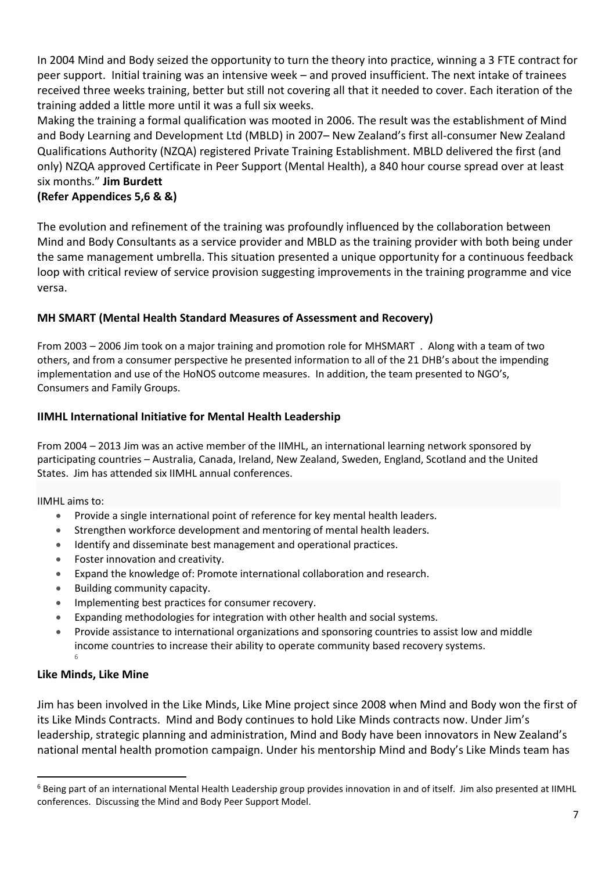In 2004 Mind and Body seized the opportunity to turn the theory into practice, winning a 3 FTE contract for peer support. Initial training was an intensive week – and proved insufficient. The next intake of trainees received three weeks training, better but still not covering all that it needed to cover. Each iteration of the training added a little more until it was a full six weeks.

Making the training a formal qualification was mooted in 2006. The result was the establishment of Mind and Body Learning and Development Ltd (MBLD) in 2007– New Zealand's first all-consumer New Zealand Qualifications Authority (NZQA) registered Private Training Establishment. MBLD delivered the first (and only) NZQA approved Certificate in Peer Support (Mental Health), a 840 hour course spread over at least six months." **Jim Burdett**

### **(Refer Appendices 5,6 & &)**

The evolution and refinement of the training was profoundly influenced by the collaboration between Mind and Body Consultants as a service provider and MBLD as the training provider with both being under the same management umbrella. This situation presented a unique opportunity for a continuous feedback loop with critical review of service provision suggesting improvements in the training programme and vice versa.

### **MH SMART (Mental Health Standard Measures of Assessment and Recovery)**

From 2003 – 2006 Jim took on a major training and promotion role for MHSMART . Along with a team of two others, and from a consumer perspective he presented information to all of the 21 DHB's about the impending implementation and use of the HoNOS outcome measures. In addition, the team presented to NGO's, Consumers and Family Groups.

### **IIMHL International Initiative for Mental Health Leadership**

From 2004 – 2013 Jim was an active member of the IIMHL, an international learning network sponsored by participating countries – Australia, Canada, Ireland, New Zealand, Sweden, England, Scotland and the United States. Jim has attended six IIMHL annual conferences.

IIMHL aims to:

- Provide a single international point of reference for key mental health leaders.
- Strengthen workforce development and mentoring of mental health leaders.
- Identify and disseminate best management and operational practices.
- Foster innovation and creativity.
- Expand the knowledge of: Promote international collaboration and research.
- Building community capacity.
- **•** Implementing best practices for consumer recovery.
- Expanding methodologies for integration with other health and social systems.
- Provide assistance to international organizations and sponsoring countries to assist low and middle income countries to increase their ability to operate community based recovery systems. 6

### **Like Minds, Like Mine**

 $\overline{a}$ 

Jim has been involved in the Like Minds, Like Mine project since 2008 when Mind and Body won the first of its Like Minds Contracts. Mind and Body continues to hold Like Minds contracts now. Under Jim's leadership, strategic planning and administration, Mind and Body have been innovators in New Zealand's national mental health promotion campaign. Under his mentorship Mind and Body's Like Minds team has

<sup>&</sup>lt;sup>6</sup> Being part of an international Mental Health Leadership group provides innovation in and of itself. Jim also presented at IIMHL conferences. Discussing the Mind and Body Peer Support Model.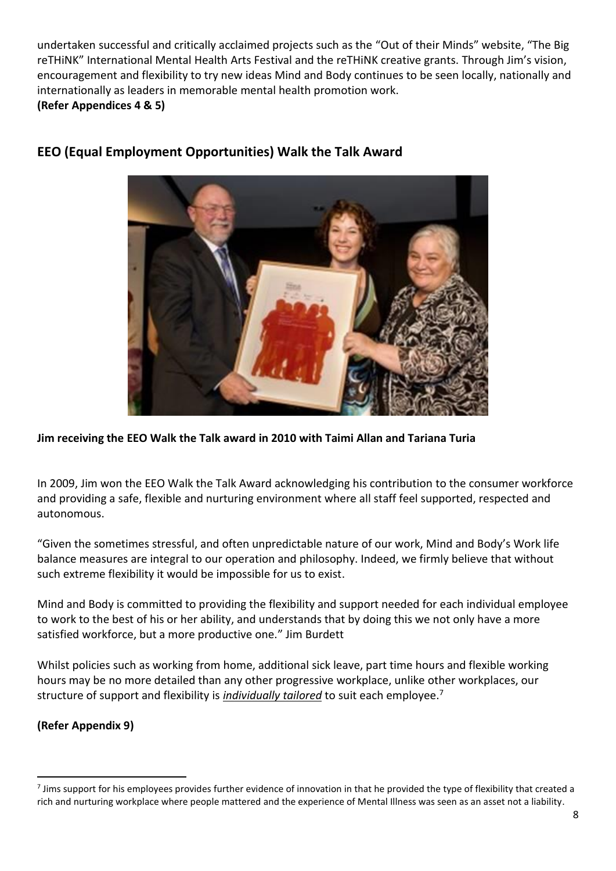undertaken successful and critically acclaimed projects such as the "Out of their Minds" website, "The Big reTHiNK" International Mental Health Arts Festival and the reTHiNK creative grants. Through Jim's vision, encouragement and flexibility to try new ideas Mind and Body continues to be seen locally, nationally and internationally as leaders in memorable mental health promotion work. **(Refer Appendices 4 & 5)**



## **EEO (Equal Employment Opportunities) Walk the Talk Award**

### **Jim receiving the EEO Walk the Talk award in 2010 with Taimi Allan and Tariana Turia**

In 2009, Jim won the EEO Walk the Talk Award acknowledging his contribution to the consumer workforce and providing a safe, flexible and nurturing environment where all staff feel supported, respected and autonomous.

"Given the sometimes stressful, and often unpredictable nature of our work, Mind and Body's Work life balance measures are integral to our operation and philosophy. Indeed, we firmly believe that without such extreme flexibility it would be impossible for us to exist.

Mind and Body is committed to providing the flexibility and support needed for each individual employee to work to the best of his or her ability, and understands that by doing this we not only have a more satisfied workforce, but a more productive one." Jim Burdett

Whilst policies such as working from home, additional sick leave, part time hours and flexible working hours may be no more detailed than any other progressive workplace, unlike other workplaces, our structure of support and flexibility is *individually tailored* to suit each employee.<sup>7</sup>

### **(Refer Appendix 9)**

 $\overline{a}$ 

 $^7$  Jims support for his employees provides further evidence of innovation in that he provided the type of flexibility that created a rich and nurturing workplace where people mattered and the experience of Mental Illness was seen as an asset not a liability.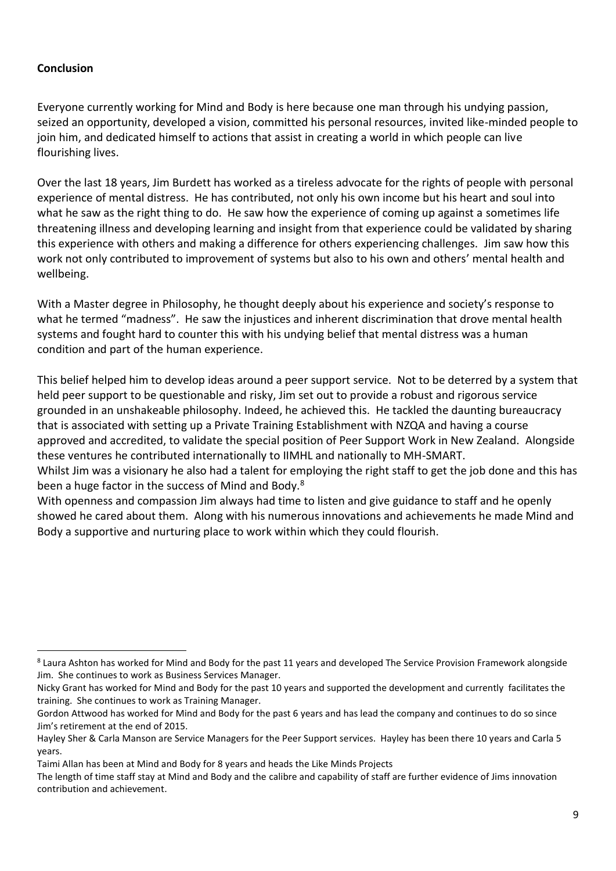### **Conclusion**

**.** 

Everyone currently working for Mind and Body is here because one man through his undying passion, seized an opportunity, developed a vision, committed his personal resources, invited like-minded people to join him, and dedicated himself to actions that assist in creating a world in which people can live flourishing lives.

Over the last 18 years, Jim Burdett has worked as a tireless advocate for the rights of people with personal experience of mental distress. He has contributed, not only his own income but his heart and soul into what he saw as the right thing to do. He saw how the experience of coming up against a sometimes life threatening illness and developing learning and insight from that experience could be validated by sharing this experience with others and making a difference for others experiencing challenges. Jim saw how this work not only contributed to improvement of systems but also to his own and others' mental health and wellbeing.

With a Master degree in Philosophy, he thought deeply about his experience and society's response to what he termed "madness". He saw the injustices and inherent discrimination that drove mental health systems and fought hard to counter this with his undying belief that mental distress was a human condition and part of the human experience.

This belief helped him to develop ideas around a peer support service. Not to be deterred by a system that held peer support to be questionable and risky, Jim set out to provide a robust and rigorous service grounded in an unshakeable philosophy. Indeed, he achieved this. He tackled the daunting bureaucracy that is associated with setting up a Private Training Establishment with NZQA and having a course approved and accredited, to validate the special position of Peer Support Work in New Zealand. Alongside these ventures he contributed internationally to IIMHL and nationally to MH-SMART.

Whilst Jim was a visionary he also had a talent for employing the right staff to get the job done and this has been a huge factor in the success of Mind and Body.<sup>8</sup>

With openness and compassion Jim always had time to listen and give guidance to staff and he openly showed he cared about them. Along with his numerous innovations and achievements he made Mind and Body a supportive and nurturing place to work within which they could flourish.

<sup>&</sup>lt;sup>8</sup> Laura Ashton has worked for Mind and Body for the past 11 years and developed The Service Provision Framework alongside Jim. She continues to work as Business Services Manager.

Nicky Grant has worked for Mind and Body for the past 10 years and supported the development and currently facilitates the training. She continues to work as Training Manager.

Gordon Attwood has worked for Mind and Body for the past 6 years and has lead the company and continues to do so since Jim's retirement at the end of 2015.

Hayley Sher & Carla Manson are Service Managers for the Peer Support services. Hayley has been there 10 years and Carla 5 years.

Taimi Allan has been at Mind and Body for 8 years and heads the Like Minds Projects

The length of time staff stay at Mind and Body and the calibre and capability of staff are further evidence of Jims innovation contribution and achievement.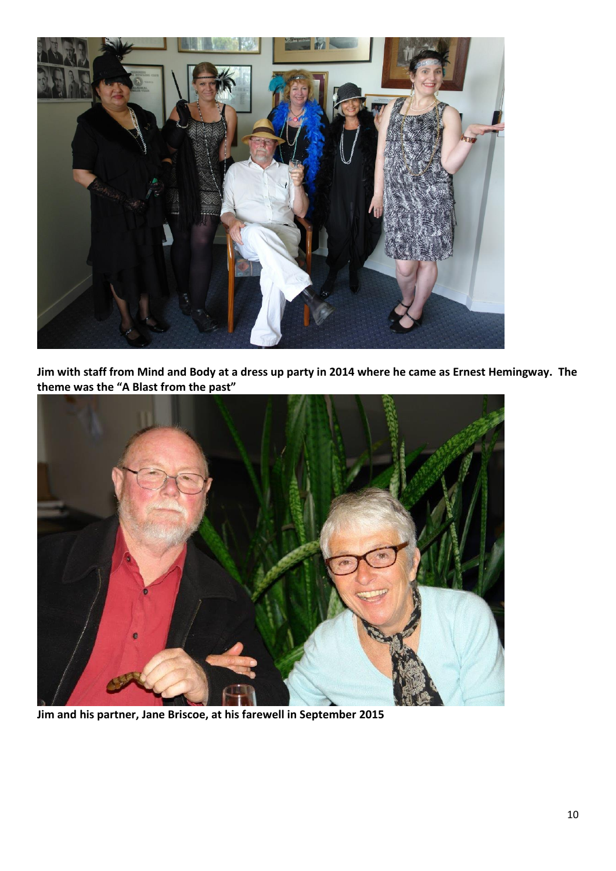

**Jim with staff from Mind and Body at a dress up party in 2014 where he came as Ernest Hemingway. The theme was the "A Blast from the past"**



**Jim and his partner, Jane Briscoe, at his farewell in September 2015**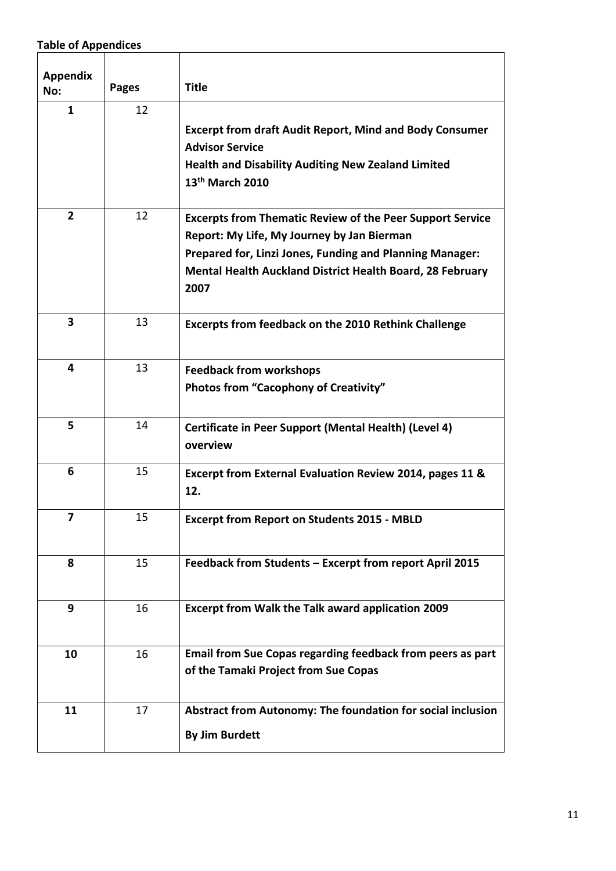# **Table of Appendices**

| <b>Appendix</b><br>No: | <b>Pages</b> | <b>Title</b>                                                                                                                                                                                                                                    |  |  |
|------------------------|--------------|-------------------------------------------------------------------------------------------------------------------------------------------------------------------------------------------------------------------------------------------------|--|--|
| $\mathbf{1}$           | 12           | <b>Excerpt from draft Audit Report, Mind and Body Consumer</b><br><b>Advisor Service</b><br><b>Health and Disability Auditing New Zealand Limited</b><br>13 <sup>th</sup> March 2010                                                            |  |  |
| $\overline{2}$         | 12           | <b>Excerpts from Thematic Review of the Peer Support Service</b><br>Report: My Life, My Journey by Jan Bierman<br>Prepared for, Linzi Jones, Funding and Planning Manager:<br>Mental Health Auckland District Health Board, 28 February<br>2007 |  |  |
| 3                      | 13           | <b>Excerpts from feedback on the 2010 Rethink Challenge</b>                                                                                                                                                                                     |  |  |
| $\overline{4}$         | 13           | <b>Feedback from workshops</b><br><b>Photos from "Cacophony of Creativity"</b>                                                                                                                                                                  |  |  |
| 5                      | 14           | Certificate in Peer Support (Mental Health) (Level 4)<br>overview                                                                                                                                                                               |  |  |
| 6                      | 15           | Excerpt from External Evaluation Review 2014, pages 11 &<br>12.                                                                                                                                                                                 |  |  |
| 7                      | 15           | <b>Excerpt from Report on Students 2015 - MBLD</b>                                                                                                                                                                                              |  |  |
| 8                      | 15           | Feedback from Students - Excerpt from report April 2015                                                                                                                                                                                         |  |  |
| 9                      | 16           | Excerpt from Walk the Talk award application 2009                                                                                                                                                                                               |  |  |
| 10                     | 16           | Email from Sue Copas regarding feedback from peers as part<br>of the Tamaki Project from Sue Copas                                                                                                                                              |  |  |
| 11                     | 17           | Abstract from Autonomy: The foundation for social inclusion<br><b>By Jim Burdett</b>                                                                                                                                                            |  |  |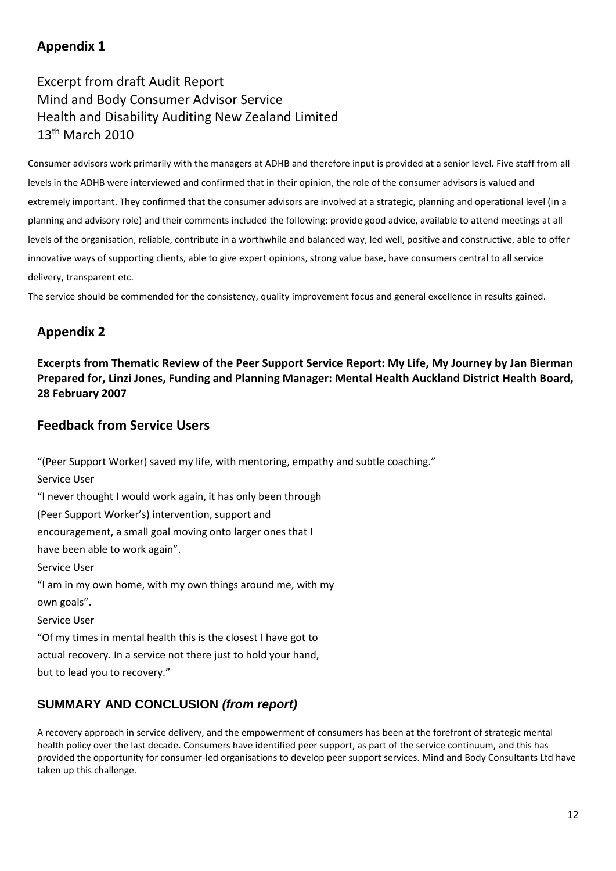## **Appendix 1**

# Excerpt from draft Audit Report Mind and Body Consumer Advisor Service Health and Disability Auditing New Zealand Limited 13<sup>th</sup> March 2010

Consumer advisors work primarily with the managers at ADHB and therefore input is provided at a senior level. Five staff from all levels in the ADHB were interviewed and confirmed that in their opinion, the role of the consumer advisors is valued and extremely important. They confirmed that the consumer advisors are involved at a strategic, planning and operational level (in a planning and advisory role) and their comments included the following: provide good advice, available to attend meetings at all levels of the organisation, reliable, contribute in a worthwhile and balanced way, led well, positive and constructive, able to offer innovative ways of supporting clients, able to give expert opinions, strong value base, have consumers central to all service delivery, transparent etc.

The service should be commended for the consistency, quality improvement focus and general excellence in results gained.

## **Appendix 2**

**Excerpts from Thematic Review of the Peer Support Service Report: My Life, My Journey by Jan Bierman Prepared for, Linzi Jones, Funding and Planning Manager: Mental Health Auckland District Health Board, 28 February 2007**

### **Feedback from Service Users**

"(Peer Support Worker) saved my life, with mentoring, empathy and subtle coaching." Service User "I never thought I would work again, it has only been through (Peer Support Worker's) intervention, support and encouragement, a small goal moving onto larger ones that I have been able to work again". Service User "I am in my own home, with my own things around me, with my own goals". Service User "Of my times in mental health this is the closest I have got to actual recovery. In a service not there just to hold your hand, but to lead you to recovery."

## **SUMMARY AND CONCLUSION** *(from report)*

A recovery approach in service delivery, and the empowerment of consumers has been at the forefront of strategic mental health policy over the last decade. Consumers have identified peer support, as part of the service continuum, and this has provided the opportunity for consumer-led organisations to develop peer support services. Mind and Body Consultants Ltd have taken up this challenge.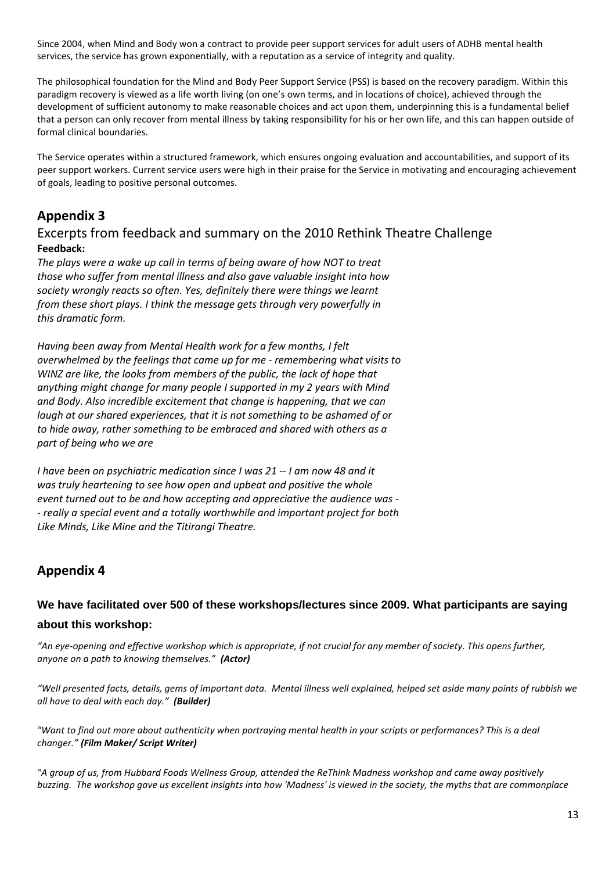Since 2004, when Mind and Body won a contract to provide peer support services for adult users of ADHB mental health services, the service has grown exponentially, with a reputation as a service of integrity and quality.

The philosophical foundation for the Mind and Body Peer Support Service (PSS) is based on the recovery paradigm. Within this paradigm recovery is viewed as a life worth living (on one's own terms, and in locations of choice), achieved through the development of sufficient autonomy to make reasonable choices and act upon them, underpinning this is a fundamental belief that a person can only recover from mental illness by taking responsibility for his or her own life, and this can happen outside of formal clinical boundaries.

The Service operates within a structured framework, which ensures ongoing evaluation and accountabilities, and support of its peer support workers. Current service users were high in their praise for the Service in motivating and encouraging achievement of goals, leading to positive personal outcomes.

## **Appendix 3**

### Excerpts from feedback and summary on the 2010 Rethink Theatre Challenge **Feedback:**

*The plays were a wake up call in terms of being aware of how NOT to treat those who suffer from mental illness and also gave valuable insight into how society wrongly reacts so often. Yes, definitely there were things we learnt from these short plays. I think the message gets through very powerfully in this dramatic form.*

*Having been away from Mental Health work for a few months, I felt overwhelmed by the feelings that came up for me - remembering what visits to WINZ are like, the looks from members of the public, the lack of hope that anything might change for many people I supported in my 2 years with Mind and Body. Also incredible excitement that change is happening, that we can laugh at our shared experiences, that it is not something to be ashamed of or to hide away, rather something to be embraced and shared with others as a part of being who we are*

*I have been on psychiatric medication since I was 21 -- I am now 48 and it was truly heartening to see how open and upbeat and positive the whole event turned out to be and how accepting and appreciative the audience was - - really a special event and a totally worthwhile and important project for both Like Minds, Like Mine and the Titirangi Theatre.*

## **Appendix 4**

### **We have facilitated over 500 of these workshops/lectures since 2009. What participants are saying about this workshop:**

*"An eye-opening and effective workshop which is appropriate, if not crucial for any member of society. This opens further, anyone on a path to knowing themselves." (Actor)*

*"Well presented facts, details, gems of important data. Mental illness well explained, helped set aside many points of rubbish we all have to deal with each day." (Builder)*

*"Want to find out more about authenticity when portraying mental health in your scripts or performances? This is a deal changer." (Film Maker/ Script Writer)*

*"A group of us, from Hubbard Foods Wellness Group, attended the ReThink Madness workshop and came away positively buzzing. The workshop gave us excellent insights into how 'Madness' is viewed in the society, the myths that are commonplace*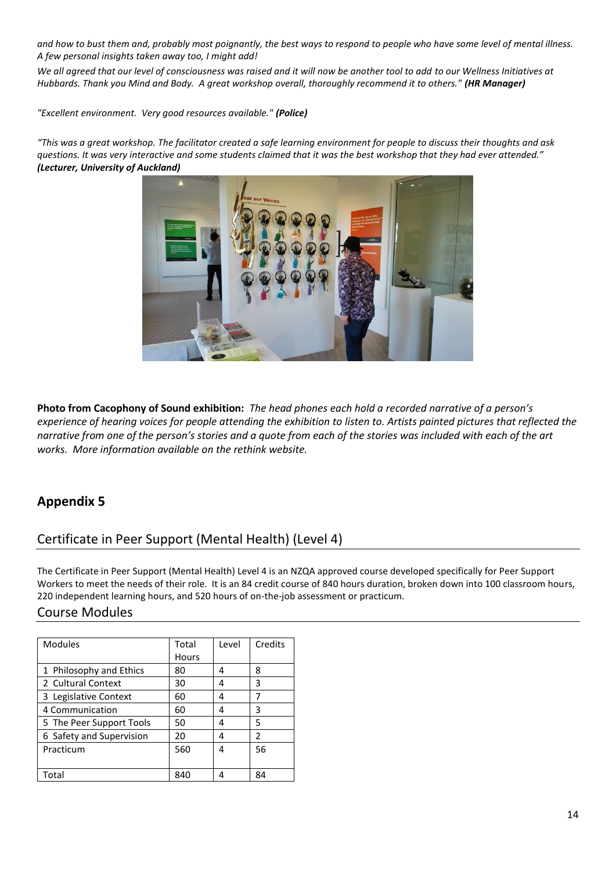*and how to bust them and, probably most poignantly, the best ways to respond to people who have some level of mental illness. A few personal insights taken away too, I might add!*

*We all agreed that our level of consciousness was raised and it will now be another tool to add to our Wellness Initiatives at Hubbards. Thank you Mind and Body. A great workshop overall, thoroughly recommend it to others." (HR Manager)*

*"Excellent environment. Very good resources available." (Police)*

*"This was a great workshop. The facilitator created a safe learning environment for people to discuss their thoughts and ask questions. It was very interactive and some students claimed that it was the best workshop that they had ever attended." (Lecturer, University of Auckland)* 



**Photo from Cacophony of Sound exhibition:** *The head phones each hold a recorded narrative of a person's experience of hearing voices for people attending the exhibition to listen to. Artists painted pictures that reflected the narrative from one of the person's stories and a quote from each of the stories was included with each of the art works. More information available on the rethink website.*

## **Appendix 5**

## Certificate in Peer Support (Mental Health) (Level 4)

The Certificate in Peer Support (Mental Health) Level 4 is an NZQA approved course developed specifically for Peer Support Workers to meet the needs of their role. It is an 84 credit course of 840 hours duration, broken down into 100 classroom hours, 220 independent learning hours, and 520 hours of on-the-job assessment or practicum.

### Course Modules

| <b>Modules</b>           | Total        | Level | Credits                  |
|--------------------------|--------------|-------|--------------------------|
|                          | <b>Hours</b> |       |                          |
| 1 Philosophy and Ethics  | 80           | 4     | 8                        |
| 2 Cultural Context       | 30           | 4     | 3                        |
| 3 Legislative Context    | 60           | 4     | 7                        |
| 4 Communication          | 60           | 4     | 3                        |
| 5 The Peer Support Tools | 50           | 4     | 5                        |
| 6 Safety and Supervision | 20           | 4     | $\overline{\phantom{a}}$ |
| Practicum                | 560          | 4     | 56                       |
|                          |              |       |                          |
| Total                    | 840          |       | 84                       |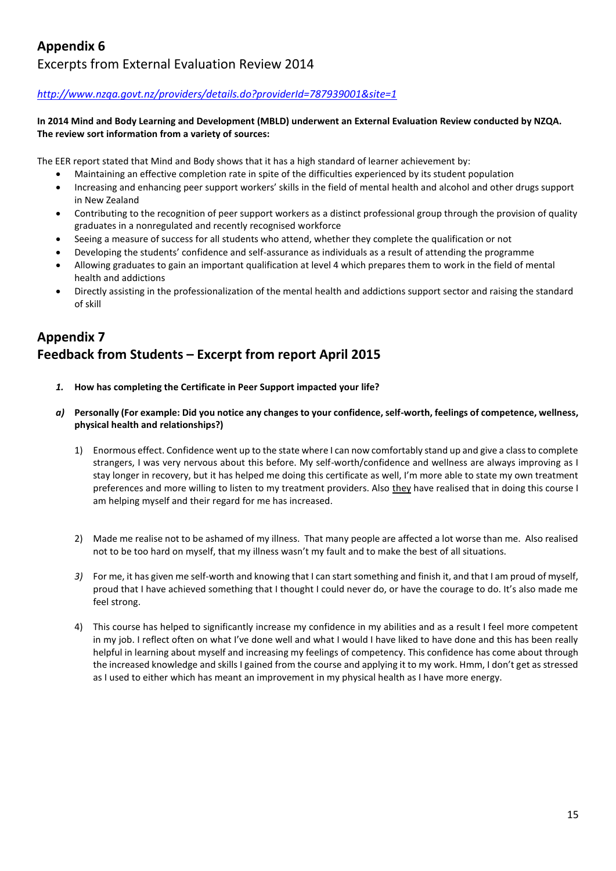## **Appendix 6** Excerpts from External Evaluation Review 2014

#### *<http://www.nzqa.govt.nz/providers/details.do?providerId=787939001&site=1>*

#### **In 2014 Mind and Body Learning and Development (MBLD) underwent an External Evaluation Review conducted by NZQA. The review sort information from a variety of sources:**

The EER report stated that Mind and Body shows that it has a high standard of learner achievement by:

- Maintaining an effective completion rate in spite of the difficulties experienced by its student population
- Increasing and enhancing peer support workers' skills in the field of mental health and alcohol and other drugs support in New Zealand
- Contributing to the recognition of peer support workers as a distinct professional group through the provision of quality graduates in a nonregulated and recently recognised workforce
- Seeing a measure of success for all students who attend, whether they complete the qualification or not
- Developing the students' confidence and self-assurance as individuals as a result of attending the programme
- Allowing graduates to gain an important qualification at level 4 which prepares them to work in the field of mental health and addictions
- Directly assisting in the professionalization of the mental health and addictions support sector and raising the standard of skill

# **Appendix 7 Feedback from Students – Excerpt from report April 2015**

- *1.* **How has completing the Certificate in Peer Support impacted your life?**
- *a)* **Personally (For example: Did you notice any changes to your confidence, self-worth, feelings of competence, wellness, physical health and relationships?)** 
	- 1) Enormous effect. Confidence went up to the state where I can now comfortably stand up and give a class to complete strangers, I was very nervous about this before. My self-worth/confidence and wellness are always improving as I stay longer in recovery, but it has helped me doing this certificate as well, I'm more able to state my own treatment preferences and more willing to listen to my treatment providers. Also they have realised that in doing this course I am helping myself and their regard for me has increased.
	- 2) Made me realise not to be ashamed of my illness. That many people are affected a lot worse than me. Also realised not to be too hard on myself, that my illness wasn't my fault and to make the best of all situations.
	- *3)* For me, it has given me self-worth and knowing that I can start something and finish it, and that I am proud of myself, proud that I have achieved something that I thought I could never do, or have the courage to do. It's also made me feel strong.
	- 4) This course has helped to significantly increase my confidence in my abilities and as a result I feel more competent in my job. I reflect often on what I've done well and what I would I have liked to have done and this has been really helpful in learning about myself and increasing my feelings of competency. This confidence has come about through the increased knowledge and skills I gained from the course and applying it to my work. Hmm, I don't get as stressed as I used to either which has meant an improvement in my physical health as I have more energy.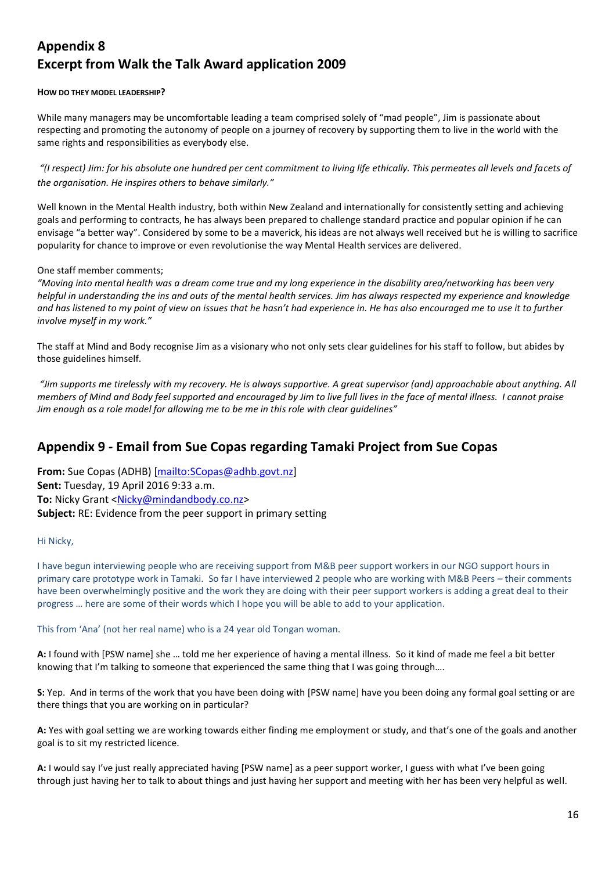## **Appendix 8 Excerpt from Walk the Talk Award application 2009**

#### **HOW DO THEY MODEL LEADERSHIP?**

While many managers may be uncomfortable leading a team comprised solely of "mad people", Jim is passionate about respecting and promoting the autonomy of people on a journey of recovery by supporting them to live in the world with the same rights and responsibilities as everybody else.

*"(I respect) Jim: for his absolute one hundred per cent commitment to living life ethically. This permeates all levels and facets of the organisation. He inspires others to behave similarly."*

Well known in the Mental Health industry, both within New Zealand and internationally for consistently setting and achieving goals and performing to contracts, he has always been prepared to challenge standard practice and popular opinion if he can envisage "a better way". Considered by some to be a maverick, his ideas are not always well received but he is willing to sacrifice popularity for chance to improve or even revolutionise the way Mental Health services are delivered.

#### One staff member comments;

*"Moving into mental health was a dream come true and my long experience in the disability area/networking has been very helpful in understanding the ins and outs of the mental health services. Jim has always respected my experience and knowledge and has listened to my point of view on issues that he hasn't had experience in. He has also encouraged me to use it to further involve myself in my work."*

The staff at Mind and Body recognise Jim as a visionary who not only sets clear guidelines for his staff to follow, but abides by those guidelines himself.

*"Jim supports me tirelessly with my recovery. He is always supportive. A great supervisor (and) approachable about anything. All members of Mind and Body feel supported and encouraged by Jim to live full lives in the face of mental illness. I cannot praise Jim enough as a role model for allowing me to be me in this role with clear guidelines"*

## **Appendix 9 - Email from Sue Copas regarding Tamaki Project from Sue Copas**

**From:** Sue Copas (ADHB) [\[mailto:SCopas@adhb.govt.nz\]](mailto:SCopas@adhb.govt.nz) **Sent:** Tuesday, 19 April 2016 9:33 a.m. To: Nicky Grant [<Nicky@mindandbody.co.nz>](mailto:Nicky@mindandbody.co.nz) **Subject:** RE: Evidence from the peer support in primary setting

#### Hi Nicky,

I have begun interviewing people who are receiving support from M&B peer support workers in our NGO support hours in primary care prototype work in Tamaki. So far I have interviewed 2 people who are working with M&B Peers – their comments have been overwhelmingly positive and the work they are doing with their peer support workers is adding a great deal to their progress … here are some of their words which I hope you will be able to add to your application.

This from 'Ana' (not her real name) who is a 24 year old Tongan woman.

**A:** I found with [PSW name] she … told me her experience of having a mental illness. So it kind of made me feel a bit better knowing that I'm talking to someone that experienced the same thing that I was going through....

**S:** Yep. And in terms of the work that you have been doing with [PSW name] have you been doing any formal goal setting or are there things that you are working on in particular?

**A:** Yes with goal setting we are working towards either finding me employment or study, and that's one of the goals and another goal is to sit my restricted licence.

**A:** I would say I've just really appreciated having [PSW name] as a peer support worker, I guess with what I've been going through just having her to talk to about things and just having her support and meeting with her has been very helpful as well.